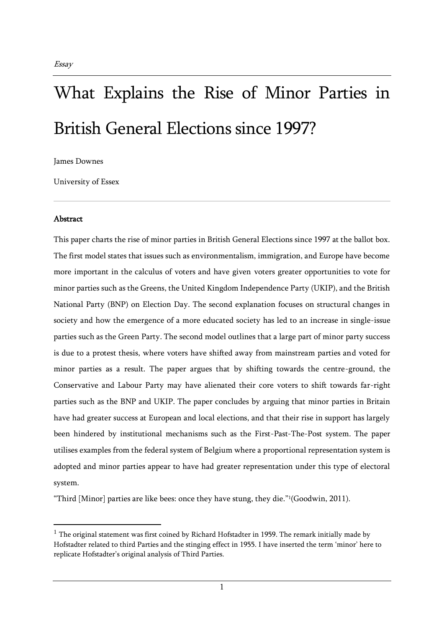# What Explains the Rise of Minor Parties in British General Elections since 1997?

James Downes

University of Essex

## Abstract

This paper charts the rise of minor parties in British General Elections since 1997 at the ballot box. The first model states that issues such as environmentalism, immigration, and Europe have become more important in the calculus of voters and have given voters greater opportunities to vote for minor parties such as the Greens, the United Kingdom Independence Party (UKIP), and the British National Party (BNP) on Election Day. The second explanation focuses on structural changes in society and how the emergence of a more educated society has led to an increase in single-issue parties such as the Green Party. The second model outlines that a large part of minor party success is due to a protest thesis, where voters have shifted away from mainstream parties and voted for minor parties as a result. The paper argues that by shifting towards the centre-ground, the Conservative and Labour Party may have alienated their core voters to shift towards far-right parties such as the BNP and UKIP. The paper concludes by arguing that minor parties in Britain have had greater success at European and local elections, and that their rise in support has largely been hindered by institutional mechanisms such as the First-Past-The-Post system. The paper utilises examples from the federal system of Belgium where a proportional representation system is adopted and minor parties appear to have had greater representation under this type of electoral system.

"Third [Minor] parties are like bees: once they have stung, they die."<sup>1</sup> (Goodwin, 2011).

 $<sup>1</sup>$  The original statement was first coined by Richard Hofstadter in 1959. The remark initially made by</sup> Hofstadter related to third Parties and the stinging effect in 1955. I have inserted the term 'minor' here to replicate Hofstadter's original analysis of Third Parties.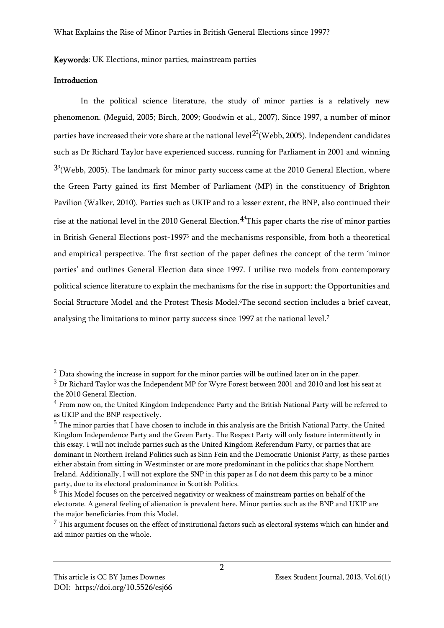## Keywords: UK Elections, minor parties, mainstream parties

## **Introduction**

In the political science literature, the study of minor parties is a relatively new phenomenon. (Meguid, 2005; Birch, 2009; Goodwin et al., 2007). Since 1997, a number of minor parties have increased their vote share at the national level $^{22}$ (Webb, 2005). Independent candidates such as Dr Richard Taylor have experienced success, running for Parliament in 2001 and winning  $^{33}$ (Webb, 2005). The landmark for minor party success came at the 2010 General Election, where the Green Party gained its first Member of Parliament (MP) in the constituency of Brighton Pavilion (Walker, 2010). Parties such as UKIP and to a lesser extent, the BNP, also continued their rise at the national level in the 2010 General Election. $4<sup>4</sup>$ This paper charts the rise of minor parties in British General Elections post-1997<sup>5</sup> and the mechanisms responsible, from both a theoretical and empirical perspective. The first section of the paper defines the concept of the term 'minor parties' and outlines General Election data since 1997. I utilise two models from contemporary political science literature to explain the mechanisms for the rise in support: the Opportunities and Social Structure Model and the Protest Thesis Model.6The second section includes a brief caveat, analysing the limitations to minor party success since 1997 at the national level.<sup>7</sup>

 $2$  Data showing the increase in support for the minor parties will be outlined later on in the paper.

<sup>&</sup>lt;sup>3</sup> Dr Richard Taylor was the Independent MP for Wyre Forest between 2001 and 2010 and lost his seat at the 2010 General Election.

<sup>4</sup> From now on, the United Kingdom Independence Party and the British National Party will be referred to as UKIP and the BNP respectively.

 $<sup>5</sup>$  The minor parties that I have chosen to include in this analysis are the British National Party, the United</sup> Kingdom Independence Party and the Green Party. The Respect Party will only feature intermittently in this essay. I will not include parties such as the United Kingdom Referendum Party, or parties that are dominant in Northern Ireland Politics such as Sinn Fein and the Democratic Unionist Party, as these parties either abstain from sitting in Westminster or are more predominant in the politics that shape Northern Ireland. Additionally, I will not explore the SNP in this paper as I do not deem this party to be a minor party, due to its electoral predominance in Scottish Politics.

 $6$  This Model focuses on the perceived negativity or weakness of mainstream parties on behalf of the electorate. A general feeling of alienation is prevalent here. Minor parties such as the BNP and UKIP are the major beneficiaries from this Model.

 $7$  This argument focuses on the effect of institutional factors such as electoral systems which can hinder and aid minor parties on the whole.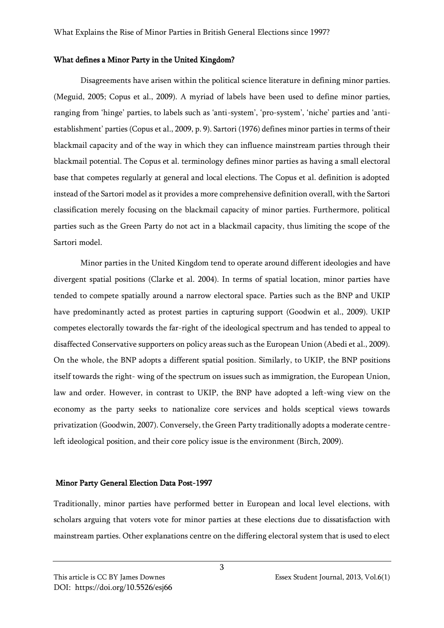#### What defines a Minor Party in the United Kingdom?

Disagreements have arisen within the political science literature in defining minor parties. (Meguid, 2005; Copus et al., 2009). A myriad of labels have been used to define minor parties, ranging from 'hinge' parties, to labels such as 'anti-system', 'pro-system', 'niche' parties and 'antiestablishment' parties (Copus et al., 2009, p. 9). Sartori (1976) defines minor parties in terms of their blackmail capacity and of the way in which they can influence mainstream parties through their blackmail potential. The Copus et al. terminology defines minor parties as having a small electoral base that competes regularly at general and local elections. The Copus et al. definition is adopted instead of the Sartori model as it provides a more comprehensive definition overall, with the Sartori classification merely focusing on the blackmail capacity of minor parties. Furthermore, political parties such as the Green Party do not act in a blackmail capacity, thus limiting the scope of the Sartori model.

Minor parties in the United Kingdom tend to operate around different ideologies and have divergent spatial positions (Clarke et al. 2004). In terms of spatial location, minor parties have tended to compete spatially around a narrow electoral space. Parties such as the BNP and UKIP have predominantly acted as protest parties in capturing support (Goodwin et al., 2009). UKIP competes electorally towards the far-right of the ideological spectrum and has tended to appeal to disaffected Conservative supporters on policy areas such as the European Union (Abedi et al., 2009). On the whole, the BNP adopts a different spatial position. Similarly, to UKIP, the BNP positions itself towards the right- wing of the spectrum on issues such as immigration, the European Union, law and order. However, in contrast to UKIP, the BNP have adopted a left-wing view on the economy as the party seeks to nationalize core services and holds sceptical views towards privatization (Goodwin, 2007). Conversely, the Green Party traditionally adopts a moderate centreleft ideological position, and their core policy issue is the environment (Birch, 2009).

## Minor Party General Election Data Post-1997

Traditionally, minor parties have performed better in European and local level elections, with scholars arguing that voters vote for minor parties at these elections due to dissatisfaction with mainstream parties. Other explanations centre on the differing electoral system that is used to elect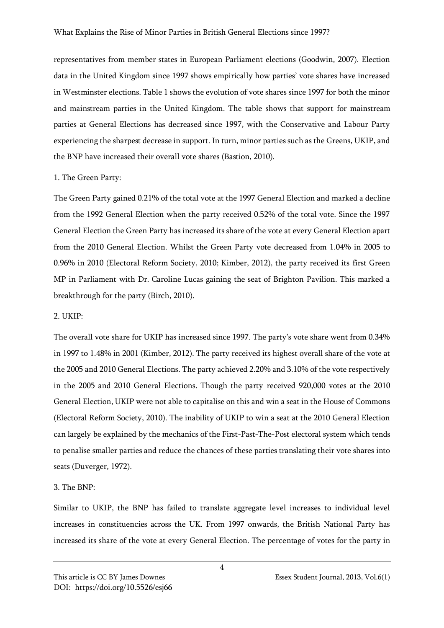representatives from member states in European Parliament elections (Goodwin, 2007). Election data in the United Kingdom since 1997 shows empirically how parties' vote shares have increased in Westminster elections. Table 1 shows the evolution of vote shares since 1997 for both the minor and mainstream parties in the United Kingdom. The table shows that support for mainstream parties at General Elections has decreased since 1997, with the Conservative and Labour Party experiencing the sharpest decrease in support. In turn, minor parties such as the Greens, UKIP, and the BNP have increased their overall vote shares (Bastion, 2010).

## 1. The Green Party:

The Green Party gained 0.21% of the total vote at the 1997 General Election and marked a decline from the 1992 General Election when the party received 0.52% of the total vote. Since the 1997 General Election the Green Party has increased its share of the vote at every General Election apart from the 2010 General Election. Whilst the Green Party vote decreased from 1.04% in 2005 to 0.96% in 2010 (Electoral Reform Society, 2010; Kimber, 2012), the party received its first Green MP in Parliament with Dr. Caroline Lucas gaining the seat of Brighton Pavilion. This marked a breakthrough for the party (Birch, 2010).

## 2. UKIP:

The overall vote share for UKIP has increased since 1997. The party's vote share went from 0.34% in 1997 to 1.48% in 2001 (Kimber, 2012). The party received its highest overall share of the vote at the 2005 and 2010 General Elections. The party achieved 2.20% and 3.10% of the vote respectively in the 2005 and 2010 General Elections. Though the party received 920,000 votes at the 2010 General Election, UKIP were not able to capitalise on this and win a seat in the House of Commons (Electoral Reform Society, 2010). The inability of UKIP to win a seat at the 2010 General Election can largely be explained by the mechanics of the First-Past-The-Post electoral system which tends to penalise smaller parties and reduce the chances of these parties translating their vote shares into seats (Duverger, 1972).

## 3. The BNP:

Similar to UKIP, the BNP has failed to translate aggregate level increases to individual level increases in constituencies across the UK. From 1997 onwards, the British National Party has increased its share of the vote at every General Election. The percentage of votes for the party in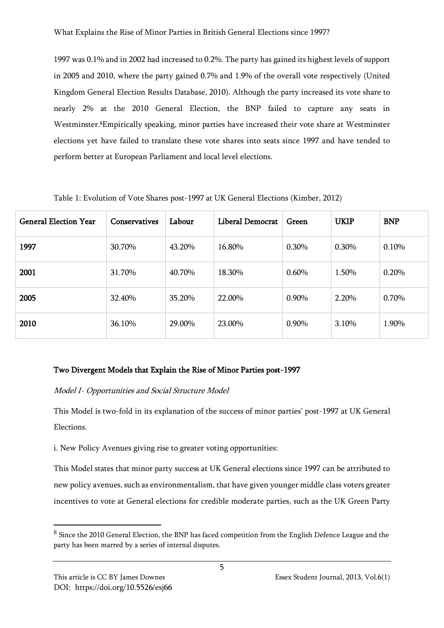1997 was 0.1% and in 2002 had increased to 0.2%. The party has gained its highest levels of support in 2005 and 2010, where the party gained 0.7% and 1.9% of the overall vote respectively (United Kingdom General Election Results Database, 2010). Although the party increased its vote share to nearly 2% at the 2010 General Election, the BNP failed to capture any seats in Westminster.8Empirically speaking, minor parties have increased their vote share at Westminster elections yet have failed to translate these vote shares into seats since 1997 and have tended to perform better at European Parliament and local level elections.

| <b>General Election Year</b> | <b>Conservatives</b> | Labour | Liberal Democrat | Green    | <b>UKIP</b> | <b>BNP</b> |
|------------------------------|----------------------|--------|------------------|----------|-------------|------------|
| 1997                         | 30.70%               | 43.20% | 16.80%           | 0.30%    | 0.30%       | 0.10%      |
| 2001                         | 31.70%               | 40.70% | 18.30%           | $0.60\%$ | 1.50%       | 0.20%      |
| 2005                         | 32.40%               | 35.20% | 22.00%           | 0.90%    | 2.20%       | 0.70%      |
| 2010                         | 36.10%               | 29.00% | 23.00%           | 0.90%    | 3.10%       | 1.90%      |

Table 1: Evolution of Vote Shares post-1997 at UK General Elections (Kimber, 2012)

## Two Divergent Models that Explain the Rise of Minor Parties post-1997

## Model I- Opportunities and Social Structure Model

This Model is two-fold in its explanation of the success of minor parties' post-1997 at UK General Elections.

i. New Policy Avenues giving rise to greater voting opportunities:

This Model states that minor party success at UK General elections since 1997 can be attributed to new policy avenues, such as environmentalism, that have given younger middle class voters greater incentives to vote at General elections for credible moderate parties, such as the UK Green Party

 $^8$  Since the 2010 General Election, the BNP has faced competition from the English Defence League and the party has been marred by a series of internal disputes.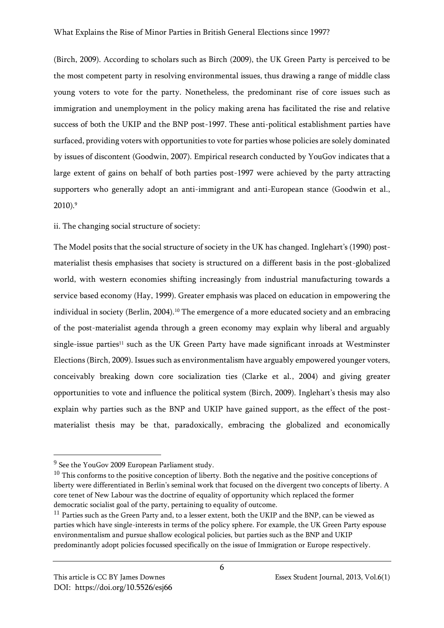(Birch, 2009). According to scholars such as Birch (2009), the UK Green Party is perceived to be the most competent party in resolving environmental issues, thus drawing a range of middle class young voters to vote for the party. Nonetheless, the predominant rise of core issues such as immigration and unemployment in the policy making arena has facilitated the rise and relative success of both the UKIP and the BNP post-1997. These anti-political establishment parties have surfaced, providing voters with opportunities to vote for parties whose policies are solely dominated by issues of discontent (Goodwin, 2007). Empirical research conducted by YouGov indicates that a large extent of gains on behalf of both parties post-1997 were achieved by the party attracting supporters who generally adopt an anti-immigrant and anti-European stance (Goodwin et al., 2010).<sup>9</sup>

## ii. The changing social structure of society:

The Model posits that the social structure of society in the UK has changed. Inglehart's (1990) postmaterialist thesis emphasises that society is structured on a different basis in the post-globalized world, with western economies shifting increasingly from industrial manufacturing towards a service based economy (Hay, 1999). Greater emphasis was placed on education in empowering the individual in society (Berlin, 2004).<sup>10</sup> The emergence of a more educated society and an embracing of the post-materialist agenda through a green economy may explain why liberal and arguably single-issue parties<sup>11</sup> such as the UK Green Party have made significant inroads at Westminster Elections (Birch, 2009). Issues such as environmentalism have arguably empowered younger voters, conceivably breaking down core socialization ties (Clarke et al., 2004) and giving greater opportunities to vote and influence the political system (Birch, 2009). Inglehart's thesis may also explain why parties such as the BNP and UKIP have gained support, as the effect of the postmaterialist thesis may be that, paradoxically, embracing the globalized and economically

 $9$  See the YouGov 2009 European Parliament study.

 $10$  This conforms to the positive conception of liberty. Both the negative and the positive conceptions of liberty were differentiated in Berlin's seminal work that focused on the divergent two concepts of liberty. A core tenet of New Labour was the doctrine of equality of opportunity which replaced the former democratic socialist goal of the party, pertaining to equality of outcome.

<sup>&</sup>lt;sup>11</sup> Parties such as the Green Party and, to a lesser extent, both the UKIP and the BNP, can be viewed as parties which have single-interests in terms of the policy sphere. For example, the UK Green Party espouse environmentalism and pursue shallow ecological policies, but parties such as the BNP and UKIP predominantly adopt policies focussed specifically on the issue of Immigration or Europe respectively.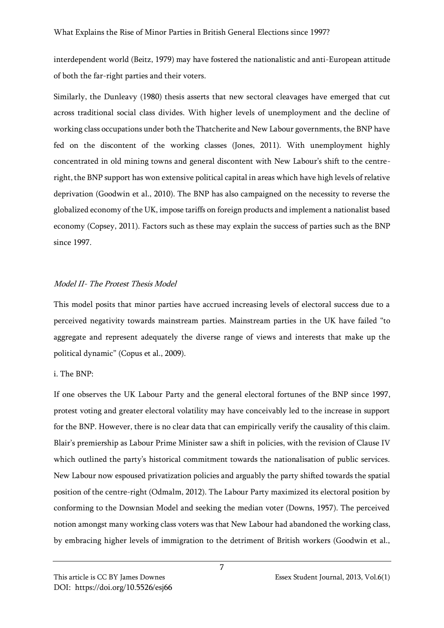interdependent world (Beitz, 1979) may have fostered the nationalistic and anti-European attitude of both the far-right parties and their voters.

Similarly, the Dunleavy (1980) thesis asserts that new sectoral cleavages have emerged that cut across traditional social class divides. With higher levels of unemployment and the decline of working class occupations under both the Thatcherite and New Labour governments, the BNP have fed on the discontent of the working classes (Jones, 2011). With unemployment highly concentrated in old mining towns and general discontent with New Labour's shift to the centreright, the BNP support has won extensive political capital in areas which have high levels of relative deprivation (Goodwin et al., 2010). The BNP has also campaigned on the necessity to reverse the globalized economy of the UK, impose tariffs on foreign products and implement a nationalist based economy (Copsey, 2011). Factors such as these may explain the success of parties such as the BNP since 1997.

## Model II- The Protest Thesis Model

This model posits that minor parties have accrued increasing levels of electoral success due to a perceived negativity towards mainstream parties. Mainstream parties in the UK have failed "to aggregate and represent adequately the diverse range of views and interests that make up the political dynamic" (Copus et al., 2009).

## i. The BNP:

If one observes the UK Labour Party and the general electoral fortunes of the BNP since 1997, protest voting and greater electoral volatility may have conceivably led to the increase in support for the BNP. However, there is no clear data that can empirically verify the causality of this claim. Blair's premiership as Labour Prime Minister saw a shift in policies, with the revision of Clause IV which outlined the party's historical commitment towards the nationalisation of public services. New Labour now espoused privatization policies and arguably the party shifted towards the spatial position of the centre-right (Odmalm, 2012). The Labour Party maximized its electoral position by conforming to the Downsian Model and seeking the median voter (Downs, 1957). The perceived notion amongst many working class voters was that New Labour had abandoned the working class, by embracing higher levels of immigration to the detriment of British workers (Goodwin et al.,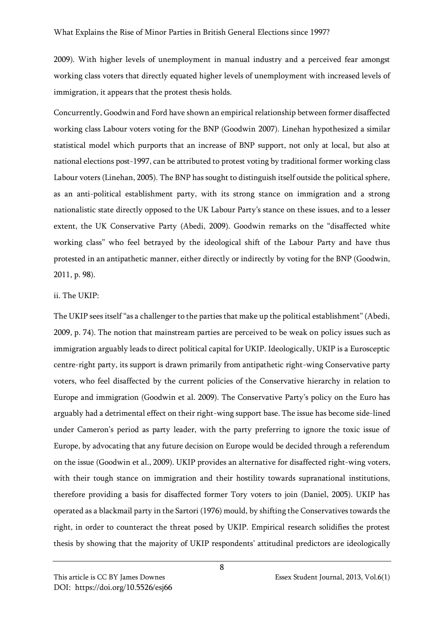2009). With higher levels of unemployment in manual industry and a perceived fear amongst working class voters that directly equated higher levels of unemployment with increased levels of immigration, it appears that the protest thesis holds.

Concurrently, Goodwin and Ford have shown an empirical relationship between former disaffected working class Labour voters voting for the BNP (Goodwin 2007). Linehan hypothesized a similar statistical model which purports that an increase of BNP support, not only at local, but also at national elections post-1997, can be attributed to protest voting by traditional former working class Labour voters (Linehan, 2005). The BNP has sought to distinguish itself outside the political sphere, as an anti-political establishment party, with its strong stance on immigration and a strong nationalistic state directly opposed to the UK Labour Party's stance on these issues, and to a lesser extent, the UK Conservative Party (Abedi, 2009). Goodwin remarks on the "disaffected white working class" who feel betrayed by the ideological shift of the Labour Party and have thus protested in an antipathetic manner, either directly or indirectly by voting for the BNP (Goodwin, 2011, p. 98).

## ii. The UKIP:

The UKIP sees itself "as a challenger to the parties that make up the political establishment" (Abedi, 2009, p. 74). The notion that mainstream parties are perceived to be weak on policy issues such as immigration arguably leads to direct political capital for UKIP. Ideologically, UKIP is a Eurosceptic centre-right party, its support is drawn primarily from antipathetic right-wing Conservative party voters, who feel disaffected by the current policies of the Conservative hierarchy in relation to Europe and immigration (Goodwin et al. 2009). The Conservative Party's policy on the Euro has arguably had a detrimental effect on their right-wing support base. The issue has become side-lined under Cameron's period as party leader, with the party preferring to ignore the toxic issue of Europe, by advocating that any future decision on Europe would be decided through a referendum on the issue (Goodwin et al., 2009). UKIP provides an alternative for disaffected right-wing voters, with their tough stance on immigration and their hostility towards supranational institutions, therefore providing a basis for disaffected former Tory voters to join (Daniel, 2005). UKIP has operated as a blackmail party in the Sartori (1976) mould, by shifting the Conservatives towards the right, in order to counteract the threat posed by UKIP. Empirical research solidifies the protest thesis by showing that the majority of UKIP respondents' attitudinal predictors are ideologically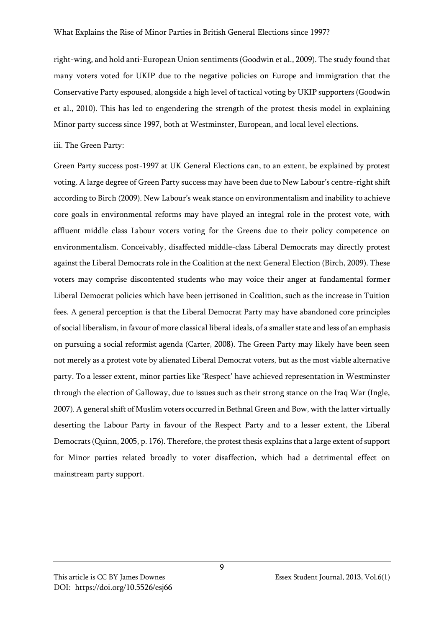right-wing, and hold anti-European Union sentiments (Goodwin et al., 2009). The study found that many voters voted for UKIP due to the negative policies on Europe and immigration that the Conservative Party espoused, alongside a high level of tactical voting by UKIP supporters (Goodwin et al., 2010). This has led to engendering the strength of the protest thesis model in explaining Minor party success since 1997, both at Westminster, European, and local level elections.

iii. The Green Party:

Green Party success post-1997 at UK General Elections can, to an extent, be explained by protest voting. A large degree of Green Party success may have been due to New Labour's centre-right shift according to Birch (2009). New Labour's weak stance on environmentalism and inability to achieve core goals in environmental reforms may have played an integral role in the protest vote, with affluent middle class Labour voters voting for the Greens due to their policy competence on environmentalism. Conceivably, disaffected middle-class Liberal Democrats may directly protest against the Liberal Democrats role in the Coalition at the next General Election (Birch, 2009). These voters may comprise discontented students who may voice their anger at fundamental former Liberal Democrat policies which have been jettisoned in Coalition, such as the increase in Tuition fees. A general perception is that the Liberal Democrat Party may have abandoned core principles of social liberalism, in favour of more classical liberal ideals, of a smaller state and less of an emphasis on pursuing a social reformist agenda (Carter, 2008). The Green Party may likely have been seen not merely as a protest vote by alienated Liberal Democrat voters, but as the most viable alternative party. To a lesser extent, minor parties like 'Respect' have achieved representation in Westminster through the election of Galloway, due to issues such as their strong stance on the Iraq War (Ingle, 2007). A general shift of Muslim voters occurred in Bethnal Green and Bow, with the latter virtually deserting the Labour Party in favour of the Respect Party and to a lesser extent, the Liberal Democrats (Quinn, 2005, p. 176). Therefore, the protest thesis explains that a large extent of support for Minor parties related broadly to voter disaffection, which had a detrimental effect on mainstream party support.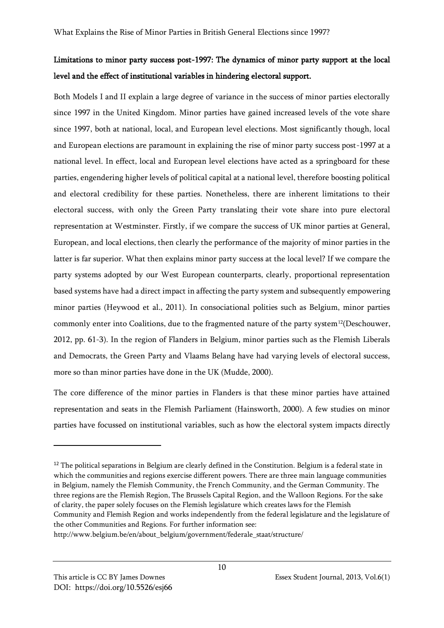## Limitations to minor party success post-1997: The dynamics of minor party support at the local level and the effect of institutional variables in hindering electoral support.

Both Models I and II explain a large degree of variance in the success of minor parties electorally since 1997 in the United Kingdom. Minor parties have gained increased levels of the vote share since 1997, both at national, local, and European level elections. Most significantly though, local and European elections are paramount in explaining the rise of minor party success post-1997 at a national level. In effect, local and European level elections have acted as a springboard for these parties, engendering higher levels of political capital at a national level, therefore boosting political and electoral credibility for these parties. Nonetheless, there are inherent limitations to their electoral success, with only the Green Party translating their vote share into pure electoral representation at Westminster. Firstly, if we compare the success of UK minor parties at General, European, and local elections, then clearly the performance of the majority of minor parties in the latter is far superior. What then explains minor party success at the local level? If we compare the party systems adopted by our West European counterparts, clearly, proportional representation based systems have had a direct impact in affecting the party system and subsequently empowering minor parties (Heywood et al., 2011). In consociational polities such as Belgium, minor parties commonly enter into Coalitions, due to the fragmented nature of the party system<sup>12</sup>(Deschouwer, 2012, pp. 61-3). In the region of Flanders in Belgium, minor parties such as the Flemish Liberals and Democrats, the Green Party and Vlaams Belang have had varying levels of electoral success, more so than minor parties have done in the UK (Mudde, 2000).

The core difference of the minor parties in Flanders is that these minor parties have attained representation and seats in the Flemish Parliament (Hainsworth, 2000). A few studies on minor parties have focussed on institutional variables, such as how the electoral system impacts directly

 $12$  The political separations in Belgium are clearly defined in the Constitution. Belgium is a federal state in which the communities and regions exercise different powers. There are three main language communities in Belgium, namely the Flemish Community, the French Community, and the German Community. The three regions are the Flemish Region, The Brussels Capital Region, and the Walloon Regions. For the sake of clarity, the paper solely focuses on the Flemish legislature which creates laws for the Flemish Community and Flemish Region and works independently from the federal legislature and the legislature of the other Communities and Regions. For further information see:

http://www.belgium.be/en/about\_belgium/government/federale\_staat/structure/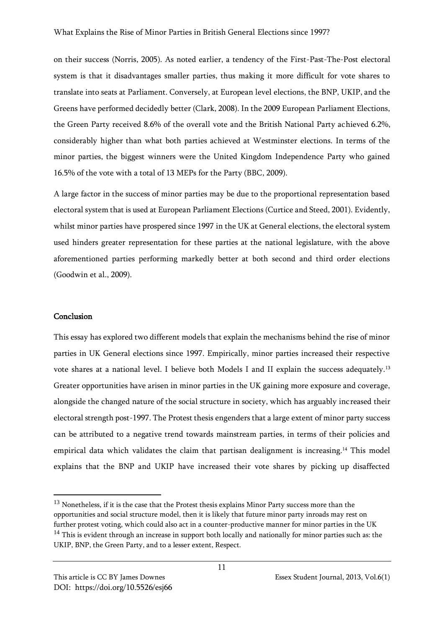on their success (Norris, 2005). As noted earlier, a tendency of the First-Past-The-Post electoral system is that it disadvantages smaller parties, thus making it more difficult for vote shares to translate into seats at Parliament. Conversely, at European level elections, the BNP, UKIP, and the Greens have performed decidedly better (Clark, 2008). In the 2009 European Parliament Elections, the Green Party received 8.6% of the overall vote and the British National Party achieved 6.2%, considerably higher than what both parties achieved at Westminster elections. In terms of the minor parties, the biggest winners were the United Kingdom Independence Party who gained 16.5% of the vote with a total of 13 MEPs for the Party (BBC, 2009).

A large factor in the success of minor parties may be due to the proportional representation based electoral system that is used at European Parliament Elections (Curtice and Steed, 2001). Evidently, whilst minor parties have prospered since 1997 in the UK at General elections, the electoral system used hinders greater representation for these parties at the national legislature, with the above aforementioned parties performing markedly better at both second and third order elections (Goodwin et al., 2009).

#### Conclusion

This essay has explored two different models that explain the mechanisms behind the rise of minor parties in UK General elections since 1997. Empirically, minor parties increased their respective vote shares at a national level. I believe both Models I and II explain the success adequately.<sup>13</sup> Greater opportunities have arisen in minor parties in the UK gaining more exposure and coverage, alongside the changed nature of the social structure in society, which has arguably increased their electoral strength post-1997. The Protest thesis engenders that a large extent of minor party success can be attributed to a negative trend towards mainstream parties, in terms of their policies and empirical data which validates the claim that partisan dealignment is increasing.<sup>14</sup> This model explains that the BNP and UKIP have increased their vote shares by picking up disaffected

 $13$  Nonetheless, if it is the case that the Protest thesis explains Minor Party success more than the opportunities and social structure model, then it is likely that future minor party inroads may rest on further protest voting, which could also act in a counter-productive manner for minor parties in the UK <sup>14</sup> This is evident through an increase in support both locally and nationally for minor parties such as: the UKIP, BNP, the Green Party, and to a lesser extent, Respect.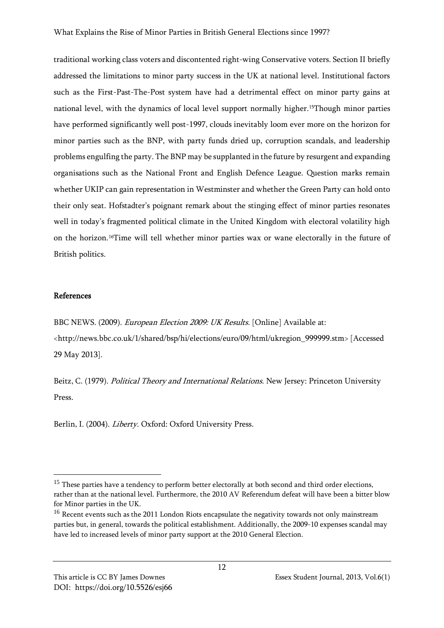traditional working class voters and discontented right-wing Conservative voters. Section II briefly addressed the limitations to minor party success in the UK at national level. Institutional factors such as the First-Past-The-Post system have had a detrimental effect on minor party gains at national level, with the dynamics of local level support normally higher.15Though minor parties have performed significantly well post-1997, clouds inevitably loom ever more on the horizon for minor parties such as the BNP, with party funds dried up, corruption scandals, and leadership problems engulfing the party. The BNP may be supplanted in the future by resurgent and expanding organisations such as the National Front and English Defence League. Question marks remain whether UKIP can gain representation in Westminster and whether the Green Party can hold onto their only seat. Hofstadter's poignant remark about the stinging effect of minor parties resonates well in today's fragmented political climate in the United Kingdom with electoral volatility high on the horizon.16Time will tell whether minor parties wax or wane electorally in the future of British politics.

## References

BBC NEWS. (2009). European Election 2009: UK Results. [Online] Available at:

<http://news.bbc.co.uk/1/shared/bsp/hi/elections/euro/09/html/ukregion\_999999.stm> [Accessed 29 May 2013].

Beitz, C. (1979). *Political Theory and International Relations*. New Jersey: Princeton University Press.

Berlin, I. (2004). Liberty. Oxford: Oxford University Press.

<sup>&</sup>lt;sup>15</sup> These parties have a tendency to perform better electorally at both second and third order elections, rather than at the national level. Furthermore, the 2010 AV Referendum defeat will have been a bitter blow for Minor parties in the UK.

<sup>&</sup>lt;sup>16</sup> Recent events such as the 2011 London Riots encapsulate the negativity towards not only mainstream parties but, in general, towards the political establishment. Additionally, the 2009-10 expenses scandal may have led to increased levels of minor party support at the 2010 General Election.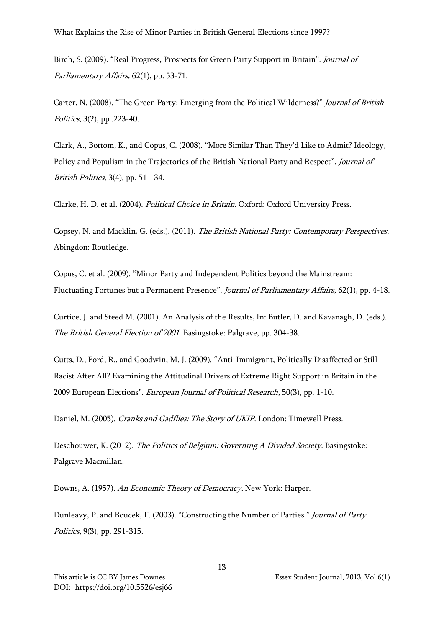What Explains the Rise of Minor Parties in British General Elections since 1997?

Birch, S. (2009). "Real Progress, Prospects for Green Party Support in Britain". *Journal of* Parliamentary Affairs, 62(1), pp. 53-71.

Carter, N. (2008). "The Green Party: Emerging from the Political Wilderness?" *Journal of British* Politics, 3(2), pp .223-40.

Clark, A., Bottom, K., and Copus, C. (2008). "More Similar Than They'd Like to Admit? Ideology, Policy and Populism in the Trajectories of the British National Party and Respect". Journal of British Politics, 3(4), pp. 511-34.

Clarke, H. D. et al. (2004). Political Choice in Britain. Oxford: Oxford University Press.

Copsey, N. and Macklin, G. (eds.). (2011). The British National Party: Contemporary Perspectives. Abingdon: Routledge.

Copus, C. et al. (2009). "Minor Party and Independent Politics beyond the Mainstream: Fluctuating Fortunes but a Permanent Presence". Journal of Parliamentary Affairs, 62(1), pp. 4-18.

Curtice, J. and Steed M. (2001). An Analysis of the Results, In: Butler, D. and Kavanagh, D. (eds.). The British General Election of 2001. Basingstoke: Palgrave, pp. 304-38.

Cutts, D., Ford, R., and Goodwin, M. J. (2009). "Anti-Immigrant, Politically Disaffected or Still Racist After All? Examining the Attitudinal Drivers of Extreme Right Support in Britain in the 2009 European Elections". European Journal of Political Research, 50(3), pp. 1-10.

Daniel, M. (2005). Cranks and Gadflies: The Story of UKIP. London: Timewell Press.

Deschouwer, K. (2012). The Politics of Belgium: Governing A Divided Society. Basingstoke: Palgrave Macmillan.

Downs, A. (1957). An Economic Theory of Democracy. New York: Harper.

Dunleavy, P. and Boucek, F. (2003). "Constructing the Number of Parties." Journal of Party Politics, 9(3), pp. 291-315.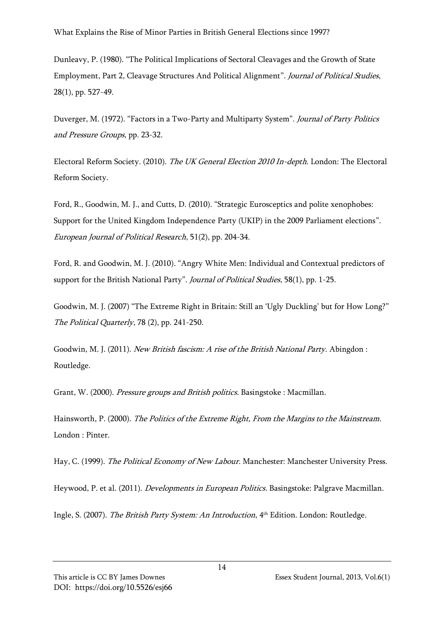Dunleavy, P. (1980). "The Political Implications of Sectoral Cleavages and the Growth of State Employment, Part 2, Cleavage Structures And Political Alignment". Journal of Political Studies, 28(1), pp. 527-49.

Duverger, M. (1972). "Factors in a Two-Party and Multiparty System". Journal of Party Politics and Pressure Groups, pp. 23-32.

Electoral Reform Society. (2010). The UK General Election 2010 In-depth. London: The Electoral Reform Society.

Ford, R., Goodwin, M. J., and Cutts, D. (2010). "Strategic Eurosceptics and polite xenophobes: Support for the United Kingdom Independence Party (UKIP) in the 2009 Parliament elections". European Journal of Political Research, 51(2), pp. 204-34.

Ford, R. and Goodwin, M. J. (2010). "Angry White Men: Individual and Contextual predictors of support for the British National Party". *Journal of Political Studies*, 58(1), pp. 1-25.

Goodwin, M. J. (2007) "The Extreme Right in Britain: Still an 'Ugly Duckling' but for How Long?" The Political Quarterly, 78 (2), pp. 241-250.

Goodwin, M. J. (2011). New British fascism: A rise of the British National Party. Abingdon: Routledge.

Grant, W. (2000). Pressure groups and British politics. Basingstoke : Macmillan.

Hainsworth, P. (2000). The Politics of the Extreme Right, From the Margins to the Mainstream. London : Pinter.

Hay, C. (1999). The Political Economy of New Labour. Manchester: Manchester University Press.

Heywood, P. et al. (2011). *Developments in European Politics*. Basingstoke: Palgrave Macmillan.

Ingle, S. (2007). *The British Party System: An Introduction*, 4<sup>th</sup> Edition. London: Routledge.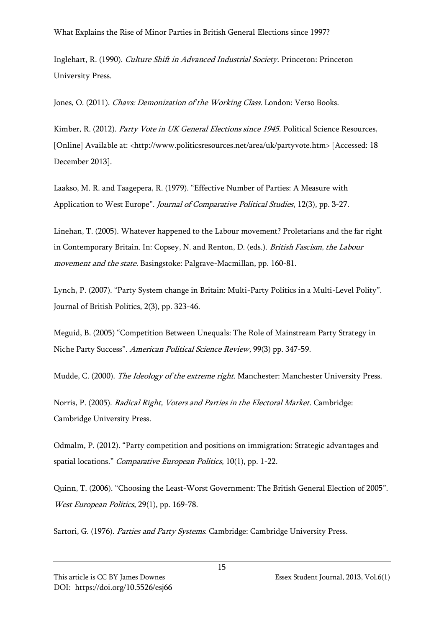What Explains the Rise of Minor Parties in British General Elections since 1997?

Inglehart, R. (1990). Culture Shift in Advanced Industrial Society. Princeton: Princeton University Press.

Jones, O. (2011). *Chavs: Demonization of the Working Class*. London: Verso Books.

Kimber, R. (2012). Party Vote in UK General Elections since 1945. Political Science Resources, [Online] Available at: <http://www.politicsresources.net/area/uk/partyvote.htm> [Accessed: 18 December 2013].

Laakso, M. R. and Taagepera, R. (1979). "Effective Number of Parties: A Measure with Application to West Europe". Journal of Comparative Political Studies, 12(3), pp. 3-27.

Linehan, T. (2005). Whatever happened to the Labour movement? Proletarians and the far right in Contemporary Britain. In: Copsey, N. and Renton, D. (eds.). *British Fascism, the Labour* movement and the state. Basingstoke: Palgrave-Macmillan, pp. 160-81.

Lynch, P. (2007). "Party System change in Britain: Multi-Party Politics in a Multi-Level Polity". Journal of British Politics, 2(3), pp. 323-46.

Meguid, B. (2005) "Competition Between Unequals: The Role of Mainstream Party Strategy in Niche Party Success". American Political Science Review, 99(3) pp. 347-59.

Mudde, C. (2000). The Ideology of the extreme right. Manchester: Manchester University Press.

Norris, P. (2005). Radical Right, Voters and Parties in the Electoral Market. Cambridge: Cambridge University Press.

Odmalm, P. (2012). "Party competition and positions on immigration: Strategic advantages and spatial locations." Comparative European Politics, 10(1), pp. 1-22.

Quinn, T. (2006). "Choosing the Least-Worst Government: The British General Election of 2005". West European Politics, 29(1), pp. 169-78.

Sartori, G. (1976). Parties and Party Systems. Cambridge: Cambridge University Press.